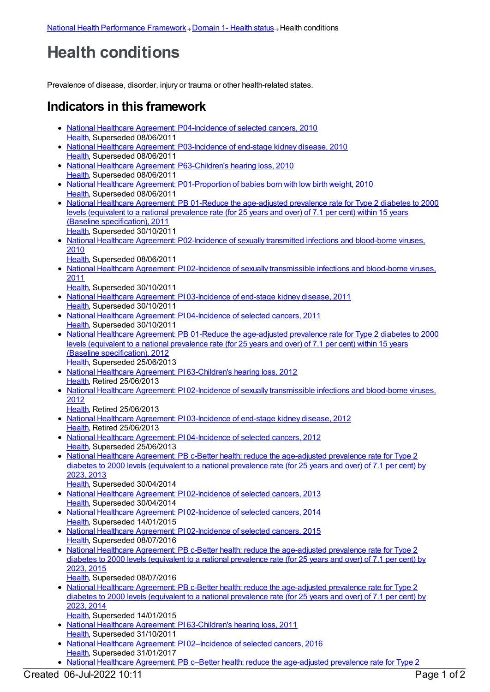## **Health conditions**

Prevalence of disease, disorder, injury or trauma or other health-related states.

## **Indicators in this framework**

- National Healthcare Agreement: [P04-Incidence](https://meteor.aihw.gov.au/content/393532) of selected cancers, 2010 [Health](https://meteor.aihw.gov.au/RegistrationAuthority/12), Superseded 08/06/2011
- National Healthcare Agreement: [P03-Incidence](https://meteor.aihw.gov.au/content/393143) of end-stage kidney disease, 2010 [Health](https://meteor.aihw.gov.au/RegistrationAuthority/12), Superseded 08/06/2011
- National Healthcare Agreement: [P63-Children's](https://meteor.aihw.gov.au/content/395109) hearing loss, 2010 [Health](https://meteor.aihw.gov.au/RegistrationAuthority/12), Superseded 08/06/2011
- National Healthcare Agreement: [P01-Proportion](https://meteor.aihw.gov.au/content/392491) of babies born with low birth weight, 2010 [Health](https://meteor.aihw.gov.au/RegistrationAuthority/12), Superseded 08/06/2011
- National Healthcare Agreement: PB 01-Reduce the [age-adjusted](https://meteor.aihw.gov.au/content/428917) prevalence rate for Type 2 diabetes to 2000 levels (equivalent to a national prevalence rate (for 25 years and over) of 7.1 per cent) within 15 years (Baseline specification), 2011 [Health](https://meteor.aihw.gov.au/RegistrationAuthority/12), Superseded 30/10/2011
- National Healthcare Agreement: [P02-Incidence](https://meteor.aihw.gov.au/content/393139) of sexually transmitted infections and blood-borne viruses, 2010
	- [Health](https://meteor.aihw.gov.au/RegistrationAuthority/12), Superseded 08/06/2011
- National Healthcare Agreement: PI 02-Incidence of sexually [transmissible](https://meteor.aihw.gov.au/content/421697) infections and blood-borne viruses, 2011
- [Health](https://meteor.aihw.gov.au/RegistrationAuthority/12), Superseded 30/10/2011
- National Healthcare Agreement: PI [03-Incidence](https://meteor.aihw.gov.au/content/421695) of end-stage kidney disease, 2011 [Health](https://meteor.aihw.gov.au/RegistrationAuthority/12), Superseded 30/10/2011
- National Healthcare Agreement: PI [04-Incidence](https://meteor.aihw.gov.au/content/421693) of selected cancers, 2011 [Health](https://meteor.aihw.gov.au/RegistrationAuthority/12), Superseded 30/10/2011
- National Healthcare Agreement: PB 01-Reduce the [age-adjusted](https://meteor.aihw.gov.au/content/435807) prevalence rate for Type 2 diabetes to 2000 levels (equivalent to a national prevalence rate (for 25 years and over) of 7.1 per cent) within 15 years (Baseline specification), 2012 [Health](https://meteor.aihw.gov.au/RegistrationAuthority/12), Superseded 25/06/2013
- National Healthcare Agreement: PI [63-Children's](https://meteor.aihw.gov.au/content/435995) hearing loss, 2012 [Health](https://meteor.aihw.gov.au/RegistrationAuthority/12), Retired 25/06/2013
- National Healthcare Agreement: PI 02-Incidence of sexually [transmissible](https://meteor.aihw.gov.au/content/435959) infections and blood-borne viruses, 2012
	- [Health](https://meteor.aihw.gov.au/RegistrationAuthority/12), Retired 25/06/2013
- National Healthcare Agreement: PI [03-Incidence](https://meteor.aihw.gov.au/content/435837) of end-stage kidney disease, 2012 [Health](https://meteor.aihw.gov.au/RegistrationAuthority/12), Retired 25/06/2013
- National Healthcare Agreement: PI [04-Incidence](https://meteor.aihw.gov.au/content/435839) of selected cancers, 2012 [Health](https://meteor.aihw.gov.au/RegistrationAuthority/12), Superseded 25/06/2013
- National Healthcare Agreement: PB c-Better health: reduce the [age-adjusted](https://meteor.aihw.gov.au/content/498350) prevalence rate for Type 2 diabetes to 2000 levels (equivalent to a national prevalence rate (for 25 years and over) of 7.1 per cent) by 2023, 2013 [Health](https://meteor.aihw.gov.au/RegistrationAuthority/12), Superseded 30/04/2014
- National Healthcare Agreement: PI [02-Incidence](https://meteor.aihw.gov.au/content/498207) of selected cancers, 2013 [Health](https://meteor.aihw.gov.au/RegistrationAuthority/12), Superseded 30/04/2014
- National Healthcare Agreement: PI [02-Incidence](https://meteor.aihw.gov.au/content/517686) of selected cancers, 2014 [Health](https://meteor.aihw.gov.au/RegistrationAuthority/12), Superseded 14/01/2015
- National Healthcare Agreement: PI [02-Incidence](https://meteor.aihw.gov.au/content/559064) of selected cancers, 2015 [Health](https://meteor.aihw.gov.au/RegistrationAuthority/12), Superseded 08/07/2016
- National Healthcare Agreement: PB c-Better health: reduce the [age-adjusted](https://meteor.aihw.gov.au/content/559077) prevalence rate for Type 2 diabetes to 2000 levels (equivalent to a national prevalence rate (for 25 years and over) of 7.1 per cent) by 2023, 2015
- [Health](https://meteor.aihw.gov.au/RegistrationAuthority/12), Superseded 08/07/2016
- National Healthcare Agreement: PB c-Better health: reduce the [age-adjusted](https://meteor.aihw.gov.au/content/517699) prevalence rate for Type 2 diabetes to 2000 levels (equivalent to a national prevalence rate (for 25 years and over) of 7.1 per cent) by 2023, 2014 [Health](https://meteor.aihw.gov.au/RegistrationAuthority/12), Superseded 14/01/2015
- National Healthcare Agreement: PI [63-Children's](https://meteor.aihw.gov.au/content/421585) hearing loss, 2011 [Health](https://meteor.aihw.gov.au/RegistrationAuthority/12), Superseded 31/10/2011
- National Healthcare Agreement: PI [02–Incidence](https://meteor.aihw.gov.au/content/598845) of selected cancers, 2016 [Health](https://meteor.aihw.gov.au/RegistrationAuthority/12), Superseded 31/01/2017
- National Healthcare Agreement: PB c–Better health: reduce the age-adjusted prevalence rate for Type 2